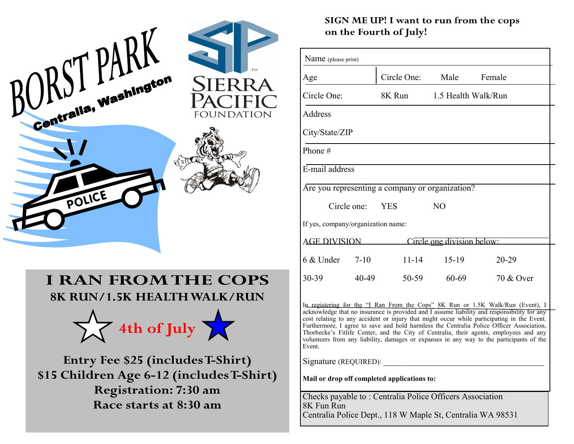

## **I RAN FROM THE COPS 8K RUN/1.5K HEALTH WALK/RUN**



Entry Fee \$25 (includes T-Shirt) \$15 Children Age 6-12 (includes T-Shirt) **Registration: 7:30 am** Race starts at 8:30 am

#### SIGN ME UP! I want to run from the cops on the Fourth of July!

| Name (please print)                                                             |          |             |                     |           |
|---------------------------------------------------------------------------------|----------|-------------|---------------------|-----------|
| Age                                                                             |          | Circle One: | Male                | Female    |
| Circle One:                                                                     |          | 8K Run      | 1.5 Health Walk/Run |           |
| Address                                                                         |          |             |                     |           |
| City/State/ZIP                                                                  |          |             |                     |           |
| Phone #                                                                         |          |             |                     |           |
| E-mail address                                                                  |          |             |                     |           |
| Are you representing a company or organization?                                 |          |             |                     |           |
| Circle one: YES                                                                 |          |             | N <sub>O</sub>      |           |
| If yes, company/organization name:                                              |          |             |                     |           |
| <b>AGE DIVISION</b><br>Circle one division below:                               |          |             |                     |           |
| 6 & Under                                                                       | $7 - 10$ | $11 - 14$   | $15-19$             | $20 - 29$ |
| 30-39                                                                           | 40-49    | $50-59$     | 60-69               | 70 & Over |
| In registering for the "I Ran From the Cops" 8K Run or 1.5K Walk/Run (Event), I |          |             |                     |           |

acknowledge that no insurance is provided and I assume liability and responsibility for any cost relating to any accident or injury that might occur while participating in the Event. Furthermore, I agree to save and hold harmless the Centralia Police Officer Association, Thorbecke's Fitlife Center, and the City of Centralia, their agents, employees and any volunteers from any liability, damages or expanses in any way to the participants of the Event.

Signature (REQUIRED):

**Mail or drop off completed applications to:**

Checks payable to : Centralia Police Officers Association 8K Fun Run Centralia Police Dept., 118 W Maple St, Centralia WA 98531